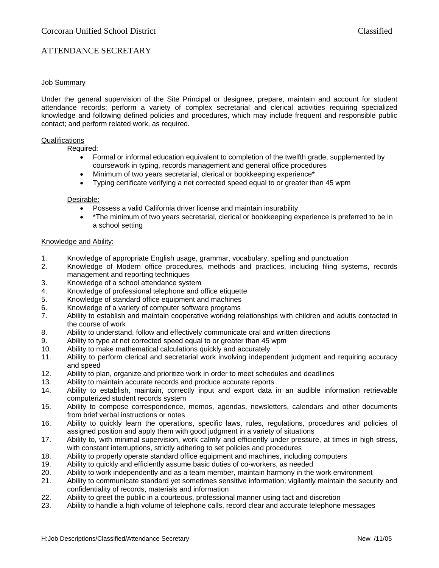# ATTENDANCE SECRETARY

### Job Summary

Under the general supervision of the Site Principal or designee, prepare, maintain and account for student attendance records; perform a variety of complex secretarial and clerical activities requiring specialized knowledge and following defined policies and procedures, which may include frequent and responsible public contact; and perform related work, as required.

#### Qualifications

Required:

- Formal or informal education equivalent to completion of the twelfth grade, supplemented by coursework in typing, records management and general office procedures
- Minimum of two years secretarial, clerical or bookkeeping experience\*
- Typing certificate verifying a net corrected speed equal to or greater than 45 wpm

#### Desirable:

- Possess a valid California driver license and maintain insurability
- \*The minimum of two years secretarial, clerical or bookkeeping experience is preferred to be in a school setting

#### Knowledge and Ability:

- 1. Knowledge of appropriate English usage, grammar, vocabulary, spelling and punctuation
- 2. Knowledge of Modern office procedures, methods and practices, including filing systems, records management and reporting techniques
- 3. Knowledge of a school attendance system
- 4. Knowledge of professional telephone and office etiquette
- 5. Knowledge of standard office equipment and machines
- 6. Knowledge of a variety of computer software programs
- 7. Ability to establish and maintain cooperative working relationships with children and adults contacted in the course of work
- 8. Ability to understand, follow and effectively communicate oral and written directions
- 9. Ability to type at net corrected speed equal to or greater than 45 wpm
- 10. Ability to make mathematical calculations quickly and accurately
- 11. Ability to perform clerical and secretarial work involving independent judgment and requiring accuracy and speed
- 12. Ability to plan, organize and prioritize work in order to meet schedules and deadlines
- 13. Ability to maintain accurate records and produce accurate reports
- 14. Ability to establish, maintain, correctly input and export data in an audible information retrievable computerized student records system
- 15. Ability to compose correspondence, memos, agendas, newsletters, calendars and other documents from brief verbal instructions or notes
- 16. Ability to quickly learn the operations, specific laws, rules, regulations, procedures and policies of assigned position and apply them with good judgment in a variety of situations
- 17. Ability to, with minimal supervision, work calmly and efficiently under pressure, at times in high stress, with constant interruptions, strictly adhering to set policies and procedures
- 18. Ability to properly operate standard office equipment and machines, including computers
- 19. Ability to quickly and efficiently assume basic duties of co-workers, as needed
- 20. Ability to work independently and as a team member, maintain harmony in the work environment
- 21. Ability to communicate standard yet sometimes sensitive information; vigilantly maintain the security and confidentiality of records, materials and information
- 22. Ability to greet the public in a courteous, professional manner using tact and discretion
- 23. Ability to handle a high volume of telephone calls, record clear and accurate telephone messages